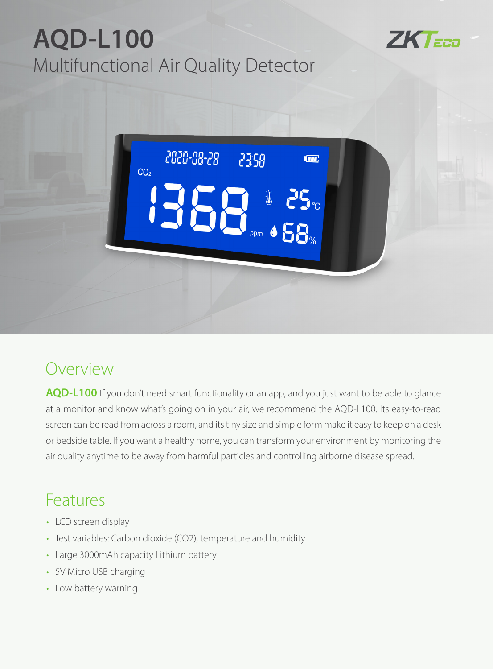## **AQD-L100** Multifunctional Air Quality Detector



2020-08-28 2358 **Im**  $CO<sub>2</sub>$ **IS** a 25c 13

## Overview

**AQD-L100** If you don't need smart functionality or an app, and you just want to be able to glance at a monitor and know what's going on in your air, we recommend the AQD-L100. Its easy-to-read screen can be read from across a room, and its tiny size and simple form make it easy to keep on a desk or bedside table. If you want a healthy home, you can transform your environment by monitoring the air quality anytime to be away from harmful particles and controlling airborne disease spread.

## Features

- LCD screen display
- Test variables: Carbon dioxide (CO2), temperature and humidity
- Large 3000mAh capacity Lithium battery
- 5V Micro USB charging
- Low battery warning